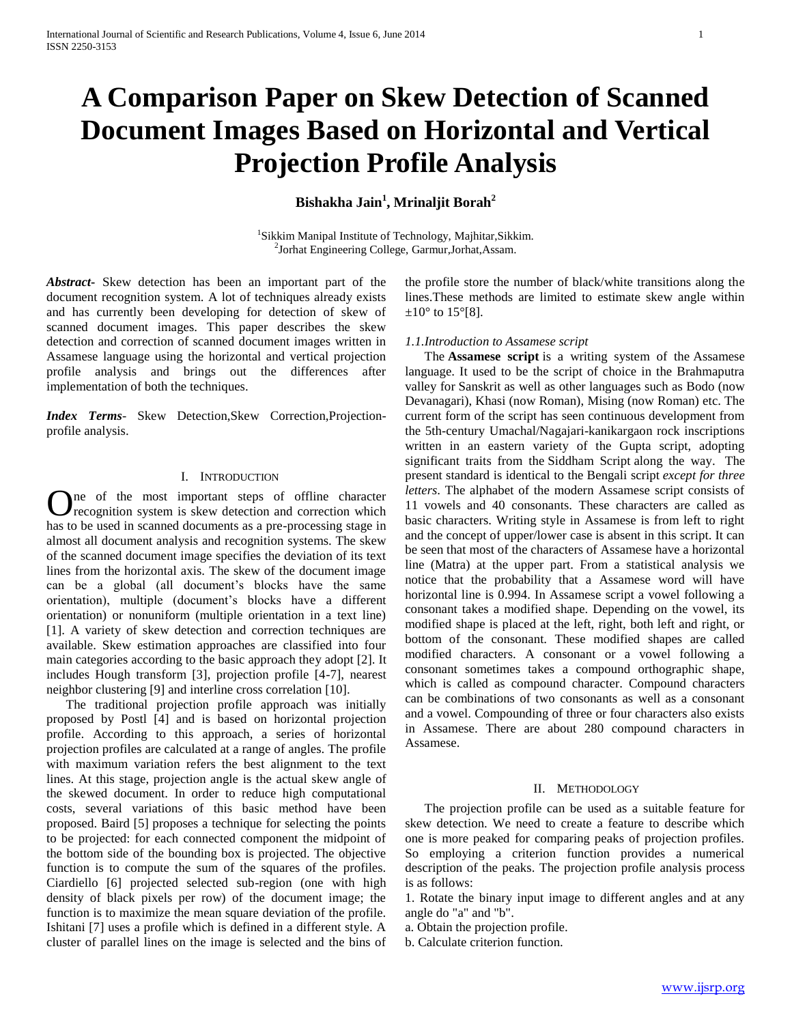# **A Comparison Paper on Skew Detection of Scanned Document Images Based on Horizontal and Vertical Projection Profile Analysis**

# **Bishakha Jain<sup>1</sup> , Mrinaljit Borah<sup>2</sup>**

<sup>1</sup>Sikkim Manipal Institute of Technology, Majhitar, Sikkim. 2 Jorhat Engineering College, Garmur,Jorhat,Assam.

*Abstract***-** Skew detection has been an important part of the document recognition system. A lot of techniques already exists and has currently been developing for detection of skew of scanned document images. This paper describes the skew detection and correction of scanned document images written in Assamese language using the horizontal and vertical projection profile analysis and brings out the differences after implementation of both the techniques.

*Index Terms*- Skew Detection,Skew Correction,Projectionprofile analysis.

### I. INTRODUCTION

ne of the most important steps of offline character One of the most important steps of offline character recognition system is skew detection and correction which has to be used in scanned documents as a pre-processing stage in almost all document analysis and recognition systems. The skew of the scanned document image specifies the deviation of its text lines from the horizontal axis. The skew of the document image can be a global (all document's blocks have the same orientation), multiple (document's blocks have a different orientation) or nonuniform (multiple orientation in a text line) [1]. A variety of skew detection and correction techniques are available. Skew estimation approaches are classified into four main categories according to the basic approach they adopt [2]. It includes Hough transform [3], projection profile [4-7], nearest neighbor clustering [9] and interline cross correlation [10].

 The traditional projection profile approach was initially proposed by Postl [4] and is based on horizontal projection profile. According to this approach, a series of horizontal projection profiles are calculated at a range of angles. The profile with maximum variation refers the best alignment to the text lines. At this stage, projection angle is the actual skew angle of the skewed document. In order to reduce high computational costs, several variations of this basic method have been proposed. Baird [5] proposes a technique for selecting the points to be projected: for each connected component the midpoint of the bottom side of the bounding box is projected. The objective function is to compute the sum of the squares of the profiles. Ciardiello [6] projected selected sub-region (one with high density of black pixels per row) of the document image; the function is to maximize the mean square deviation of the profile. Ishitani [7] uses a profile which is defined in a different style. A cluster of parallel lines on the image is selected and the bins of

the profile store the number of black/white transitions along the lines.These methods are limited to estimate skew angle within  $\pm 10^{\circ}$  to 15°[8].

#### *1.1.Introduction to Assamese script*

 The **Assamese script** is a writing system of the Assamese language. It used to be the script of choice in the Brahmaputra valley for Sanskrit as well as other languages such as Bodo (now Devanagari), Khasi (now Roman), Mising (now Roman) etc. The current form of the script has seen continuous development from the 5th-century Umachal/Nagajari-kanikargaon rock inscriptions written in an eastern variety of the Gupta script, adopting significant traits from the Siddham Script along the way. The present standard is identical to the Bengali script *except for three letters*. The alphabet of the modern Assamese script consists of 11 vowels and 40 consonants. These characters are called as basic characters. Writing style in Assamese is from left to right and the concept of upper/lower case is absent in this script. It can be seen that most of the characters of Assamese have a horizontal line (Matra) at the upper part. From a statistical analysis we notice that the probability that a Assamese word will have horizontal line is 0.994. In Assamese script a vowel following a consonant takes a modified shape. Depending on the vowel, its modified shape is placed at the left, right, both left and right, or bottom of the consonant. These modified shapes are called modified characters. A consonant or a vowel following a consonant sometimes takes a compound orthographic shape, which is called as compound character. Compound characters can be combinations of two consonants as well as a consonant and a vowel. Compounding of three or four characters also exists in Assamese. There are about 280 compound characters in Assamese.

#### II. METHODOLOGY

 The projection profile can be used as a suitable feature for skew detection. We need to create a feature to describe which one is more peaked for comparing peaks of projection profiles. So employing a criterion function provides a numerical description of the peaks. The projection profile analysis process is as follows:

1. Rotate the binary input image to different angles and at any angle do "a" and "b".

a. Obtain the projection profile.

b. Calculate criterion function.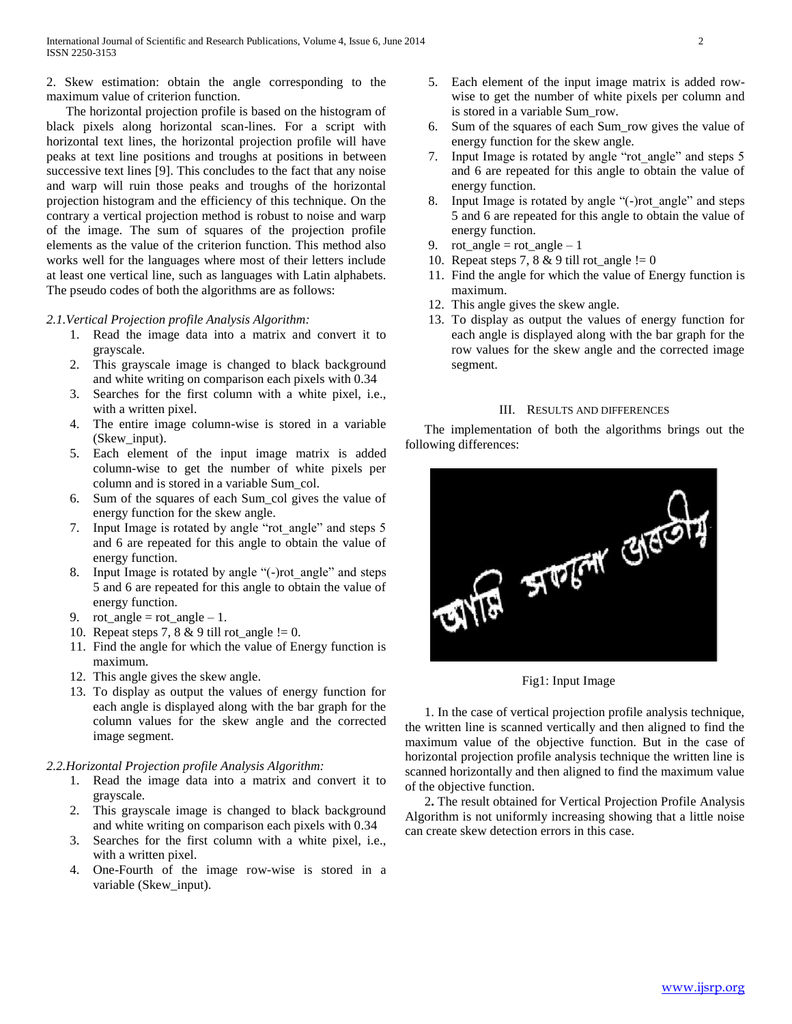2. Skew estimation: obtain the angle corresponding to the maximum value of criterion function.

 The horizontal projection profile is based on the histogram of black pixels along horizontal scan-lines. For a script with horizontal text lines, the horizontal projection profile will have peaks at text line positions and troughs at positions in between successive text lines [9]. This concludes to the fact that any noise and warp will ruin those peaks and troughs of the horizontal projection histogram and the efficiency of this technique. On the contrary a vertical projection method is robust to noise and warp of the image. The sum of squares of the projection profile elements as the value of the criterion function. This method also works well for the languages where most of their letters include at least one vertical line, such as languages with Latin alphabets. The pseudo codes of both the algorithms are as follows:

#### *2.1.Vertical Projection profile Analysis Algorithm:*

- 1. Read the image data into a matrix and convert it to grayscale.
- 2. This grayscale image is changed to black background and white writing on comparison each pixels with 0.34
- 3. Searches for the first column with a white pixel, i.e., with a written pixel.
- 4. The entire image column-wise is stored in a variable (Skew\_input).
- 5. Each element of the input image matrix is added column-wise to get the number of white pixels per column and is stored in a variable Sum\_col.
- 6. Sum of the squares of each Sum\_col gives the value of energy function for the skew angle.
- 7. Input Image is rotated by angle "rot\_angle" and steps 5 and 6 are repeated for this angle to obtain the value of energy function.
- 8. Input Image is rotated by angle "(-)rot\_angle" and steps 5 and 6 are repeated for this angle to obtain the value of energy function.
- 9. rot angle = rot angle 1.
- 10. Repeat steps 7, 8 & 9 till rot\_angle != 0.
- 11. Find the angle for which the value of Energy function is maximum.
- 12. This angle gives the skew angle.
- 13. To display as output the values of energy function for each angle is displayed along with the bar graph for the column values for the skew angle and the corrected image segment.

#### *2.2.Horizontal Projection profile Analysis Algorithm:*

- 1. Read the image data into a matrix and convert it to grayscale.
- 2. This grayscale image is changed to black background and white writing on comparison each pixels with 0.34
- 3. Searches for the first column with a white pixel, i.e., with a written pixel.
- 4. One-Fourth of the image row-wise is stored in a variable (Skew\_input).
- 5. Each element of the input image matrix is added rowwise to get the number of white pixels per column and is stored in a variable Sum\_row.
- 6. Sum of the squares of each Sum\_row gives the value of energy function for the skew angle.
- 7. Input Image is rotated by angle "rot\_angle" and steps 5 and 6 are repeated for this angle to obtain the value of energy function.
- 8. Input Image is rotated by angle "(-)rot\_angle" and steps 5 and 6 are repeated for this angle to obtain the value of energy function.
- 9. rot angle = rot angle 1
- 10. Repeat steps 7, 8 & 9 till rot angle  $!= 0$
- 11. Find the angle for which the value of Energy function is maximum.
- 12. This angle gives the skew angle.
- 13. To display as output the values of energy function for each angle is displayed along with the bar graph for the row values for the skew angle and the corrected image segment.

#### III. RESULTS AND DIFFERENCES

 The implementation of both the algorithms brings out the following differences:



Fig1: Input Image

 1. In the case of vertical projection profile analysis technique, the written line is scanned vertically and then aligned to find the maximum value of the objective function. But in the case of horizontal projection profile analysis technique the written line is scanned horizontally and then aligned to find the maximum value of the objective function.

 2**.** The result obtained for Vertical Projection Profile Analysis Algorithm is not uniformly increasing showing that a little noise can create skew detection errors in this case.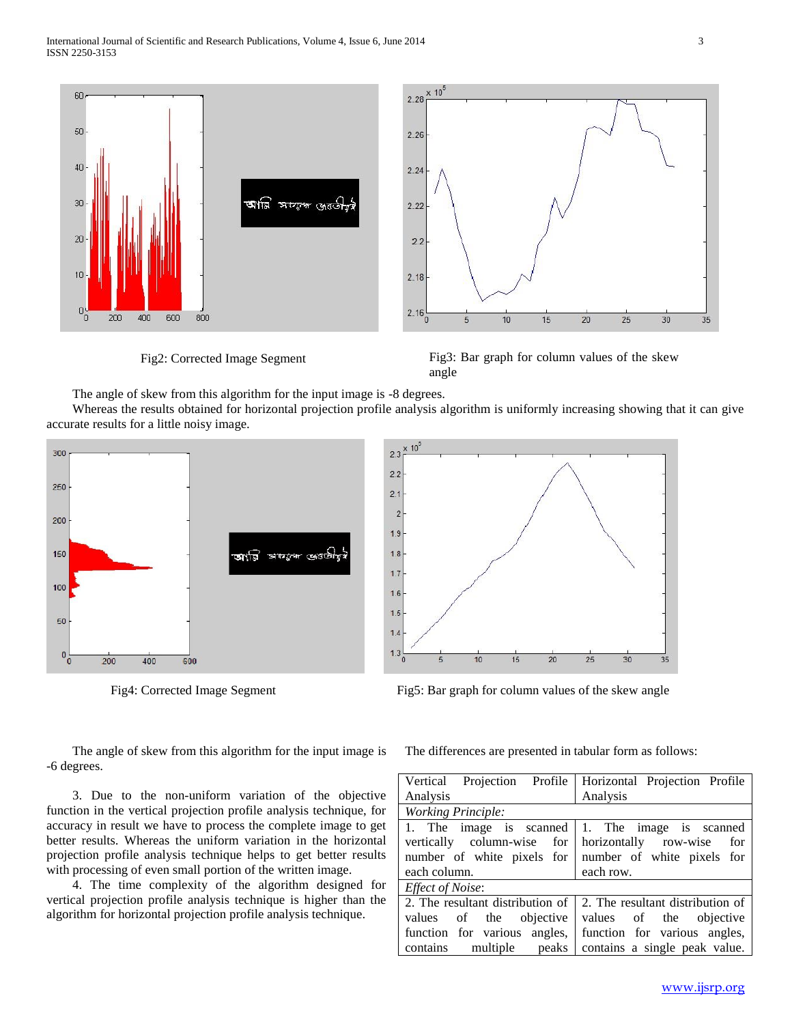

Fig2: Corrected Image Segment Fig3: Bar graph for column values of the skew angle

The angle of skew from this algorithm for the input image is -8 degrees.

 Whereas the results obtained for horizontal projection profile analysis algorithm is uniformly increasing showing that it can give accurate results for a little noisy image.





Fig5: Bar graph for column values of the skew angle Fig5: Bar graph for column values of the skew angle

 The angle of skew from this algorithm for the input image is -6 degrees.

 3. Due to the non-uniform variation of the objective function in the vertical projection profile analysis technique, for accuracy in result we have to process the complete image to get better results. Whereas the uniform variation in the horizontal projection profile analysis technique helps to get better results with processing of even small portion of the written image.

 4. The time complexity of the algorithm designed for vertical projection profile analysis technique is higher than the algorithm for horizontal projection profile analysis technique.

The differences are presented in tabular form as follows:

| Vertical Projection Profile                     | Horizontal Projection Profile    |
|-------------------------------------------------|----------------------------------|
| Analysis                                        | Analysis                         |
| <b>Working Principle:</b>                       |                                  |
| 1. The image is scanned 1. The image is scanned |                                  |
| vertically column-wise for                      | horizontally row-wise<br>for     |
| number of white pixels for                      | number of white pixels for       |
| each column.                                    | each row.                        |
| Effect of Noise:                                |                                  |
| 2. The resultant distribution of                | 2. The resultant distribution of |
| values of the<br>objective                      | values of the objective          |
| function for various angles,                    | function for various angles,     |
| multiple peaks<br>contains                      | contains a single peak value.    |